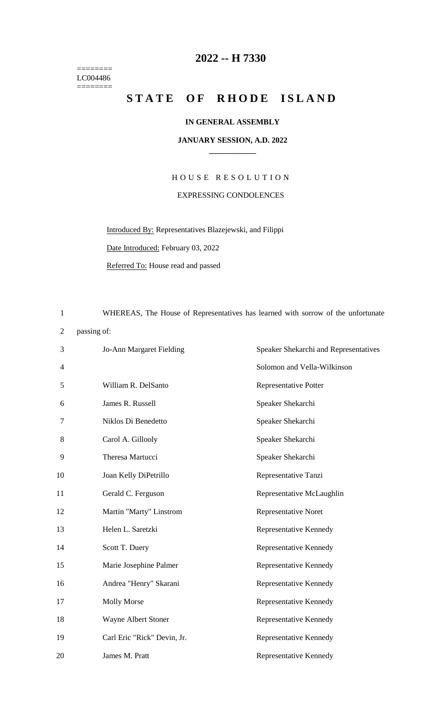$=$ LC004486 ========

## **2022 -- H 7330**

## **STATE OF RHODE ISLAND**

## **IN GENERAL ASSEMBLY**

## **JANUARY SESSION, A.D. 2022 \_\_\_\_\_\_\_\_\_\_\_\_**

H O U S E R E S O L U T I O N EXPRESSING CONDOLENCES

Introduced By: Representatives Blazejewski, and Filippi Date Introduced: February 03, 2022

Referred To: House read and passed

1 WHEREAS, The House of Representatives has learned with sorrow of the unfortunate 2 passing of: 3 Jo-Ann Margaret Fielding Speaker Shekarchi and Representatives 4 Solomon and Vella-Wilkinson 5 William R. DelSanto Representative Potter 6 James R. Russell Speaker Shekarchi 7 Niklos Di Benedetto Speaker Shekarchi 8 Carol A. Gillooly Speaker Shekarchi 9 Theresa Martucci Speaker Shekarchi 10 Joan Kelly DiPetrillo Representative Tanzi 11 Gerald C. Ferguson Representative McLaughlin 12 Martin "Marty" Linstrom Representative Noret 13 Helen L. Saretzki Representative Kennedy 14 Scott T. Duery Representative Kennedy 15 Marie Josephine Palmer Representative Kennedy 16 Andrea "Henry" Skarani Representative Kennedy 17 Molly Morse Representative Kennedy 18 Wayne Albert Stoner Representative Kennedy 19 Carl Eric "Rick" Devin, Jr. Representative Kennedy 20 James M. Pratt Representative Kennedy